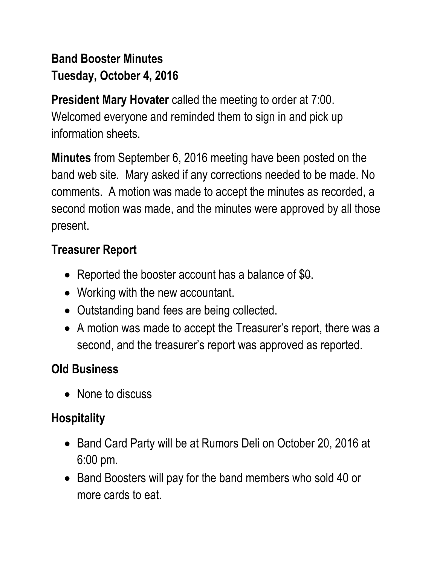# **Band Booster Minutes Tuesday, October 4, 2016**

**President Mary Hovater** called the meeting to order at 7:00. Welcomed everyone and reminded them to sign in and pick up information sheets.

**Minutes** from September 6, 2016 meeting have been posted on the band web site. Mary asked if any corrections needed to be made. No comments. A motion was made to accept the minutes as recorded, a second motion was made, and the minutes were approved by all those present.

## **Treasurer Report**

- Reported the booster account has a balance of \$0.
- Working with the new accountant.
- Outstanding band fees are being collected.
- A motion was made to accept the Treasurer's report, there was a second, and the treasurer's report was approved as reported.

## **Old Business**

• None to discuss

## **Hospitality**

- Band Card Party will be at Rumors Deli on October 20, 2016 at 6:00 pm.
- Band Boosters will pay for the band members who sold 40 or more cards to eat.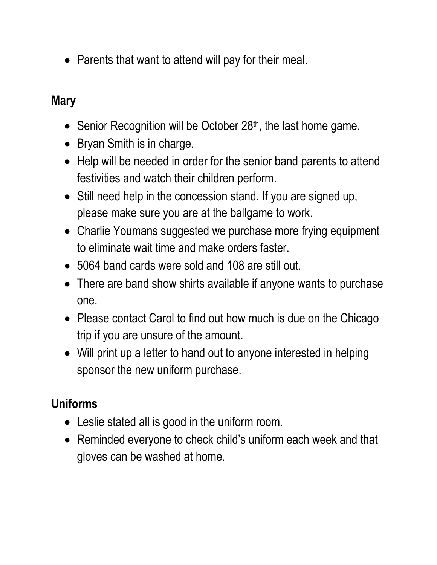• Parents that want to attend will pay for their meal.

#### **Mary**

- Senior Recognition will be October  $28<sup>th</sup>$ , the last home game.
- Bryan Smith is in charge.
- Help will be needed in order for the senior band parents to attend festivities and watch their children perform.
- Still need help in the concession stand. If you are signed up, please make sure you are at the ballgame to work.
- Charlie Youmans suggested we purchase more frying equipment to eliminate wait time and make orders faster.
- 5064 band cards were sold and 108 are still out.
- There are band show shirts available if anyone wants to purchase one.
- Please contact Carol to find out how much is due on the Chicago trip if you are unsure of the amount.
- Will print up a letter to hand out to anyone interested in helping sponsor the new uniform purchase.

### **Uniforms**

- Leslie stated all is good in the uniform room.
- Reminded everyone to check child's uniform each week and that gloves can be washed at home.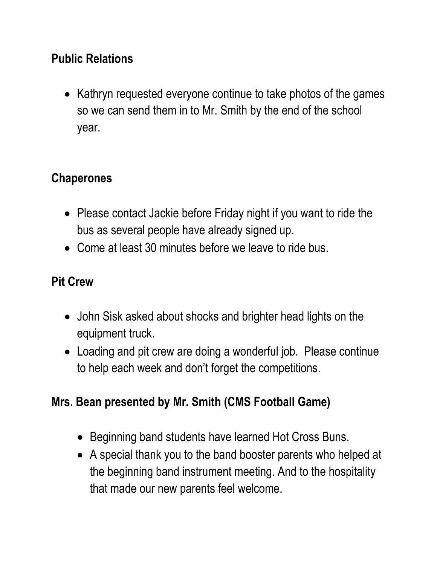## **Public Relations**

• Kathryn requested everyone continue to take photos of the games so we can send them in to Mr. Smith by the end of the school year.

### **Chaperones**

- Please contact Jackie before Friday night if you want to ride the bus as several people have already signed up.
- Come at least 30 minutes before we leave to ride bus.

#### **Pit Crew**

- John Sisk asked about shocks and brighter head lights on the equipment truck.
- Loading and pit crew are doing a wonderful job. Please continue to help each week and don't forget the competitions.

### **Mrs. Bean presented by Mr. Smith (CMS Football Game)**

- Beginning band students have learned Hot Cross Buns.
- A special thank you to the band booster parents who helped at the beginning band instrument meeting. And to the hospitality that made our new parents feel welcome.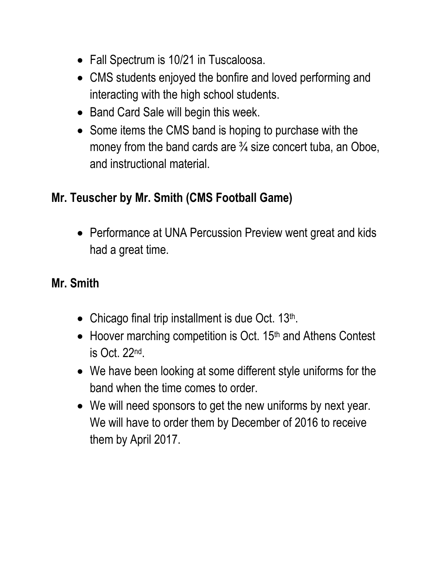- Fall Spectrum is 10/21 in Tuscaloosa.
- CMS students enjoyed the bonfire and loved performing and interacting with the high school students.
- Band Card Sale will begin this week.
- Some items the CMS band is hoping to purchase with the money from the band cards are  $\frac{3}{4}$  size concert tuba, an Oboe, and instructional material.

### **Mr. Teuscher by Mr. Smith (CMS Football Game)**

• Performance at UNA Percussion Preview went great and kids had a great time.

### **Mr. Smith**

- $\bullet$  Chicago final trip installment is due Oct. 13th.
- Hoover marching competition is Oct. 15<sup>th</sup> and Athens Contest is Oct. 22nd .
- We have been looking at some different style uniforms for the band when the time comes to order.
- We will need sponsors to get the new uniforms by next year. We will have to order them by December of 2016 to receive them by April 2017.